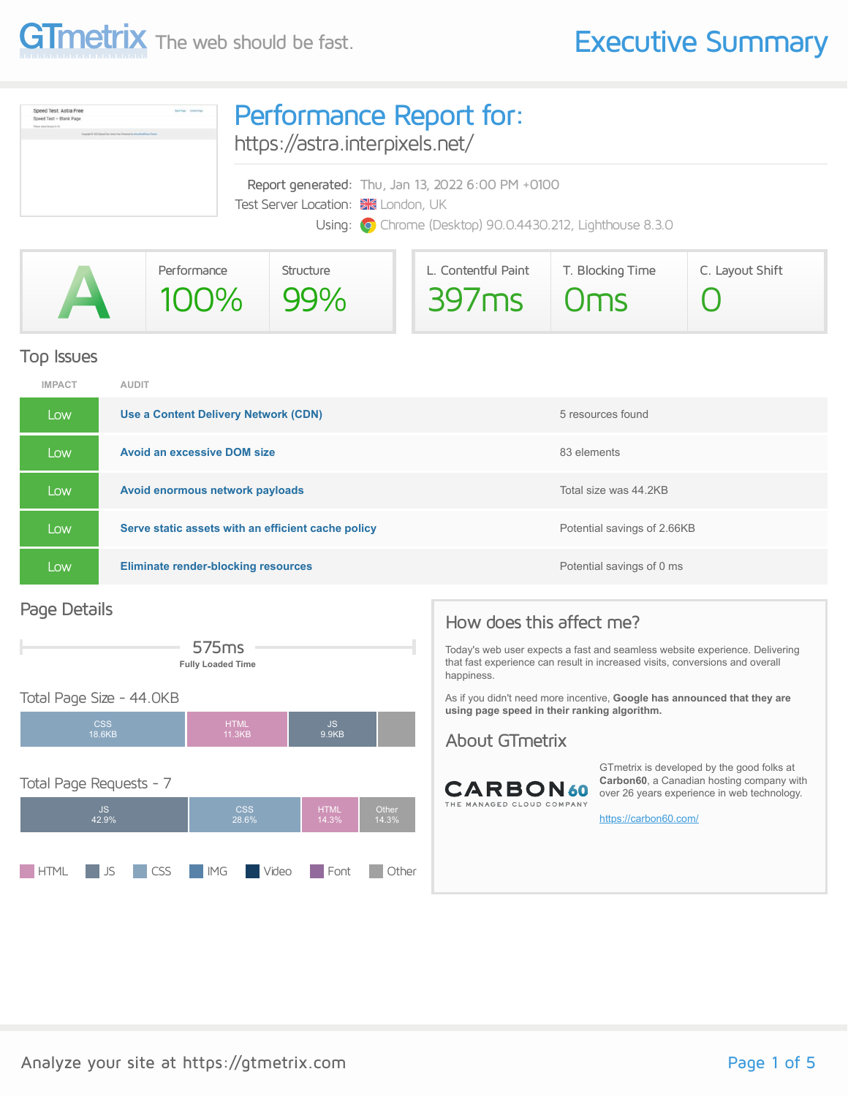



|                                                                                                                                                                                                                                                  | Performance | Structure | L. Contentful Paint | T. Blocking Time | C. Layout Shift |
|--------------------------------------------------------------------------------------------------------------------------------------------------------------------------------------------------------------------------------------------------|-------------|-----------|---------------------|------------------|-----------------|
| <b>A</b><br><u>and the state of the state of the state of the state of the state of the state of the state of the state of the state of the state of the state of the state of the state of the state of the state of the state of the state</u> | 100% 99%    |           | $397ms$ Oms         |                  |                 |
|                                                                                                                                                                                                                                                  |             |           |                     |                  |                 |

#### Top Issues

| <b>IMPACT</b> | <b>AUDIT</b>                                       |                             |
|---------------|----------------------------------------------------|-----------------------------|
| Low           | Use a Content Delivery Network (CDN)               | 5 resources found           |
| Low           | <b>Avoid an excessive DOM size</b>                 | 83 elements                 |
| Low           | Avoid enormous network payloads                    | Total size was 44.2KB       |
| Low           | Serve static assets with an efficient cache policy | Potential savings of 2.66KB |
| Low           | <b>Eliminate render-blocking resources</b>         | Potential savings of 0 ms   |

#### Page Details



#### Total Page Size - 44.0KB



#### How does this affect me?

Today's web user expects a fast and seamless website experience. Delivering that fast experience can result in increased visits, conversions and overall happiness.

As if you didn't need more incentive, **Google has announced that they are using page speed in their ranking algorithm.**

#### About GTmetrix



GTmetrix is developed by the good folks at **Carbon60**, a Canadian hosting company with over 26 years experience in web technology.

<https://carbon60.com/>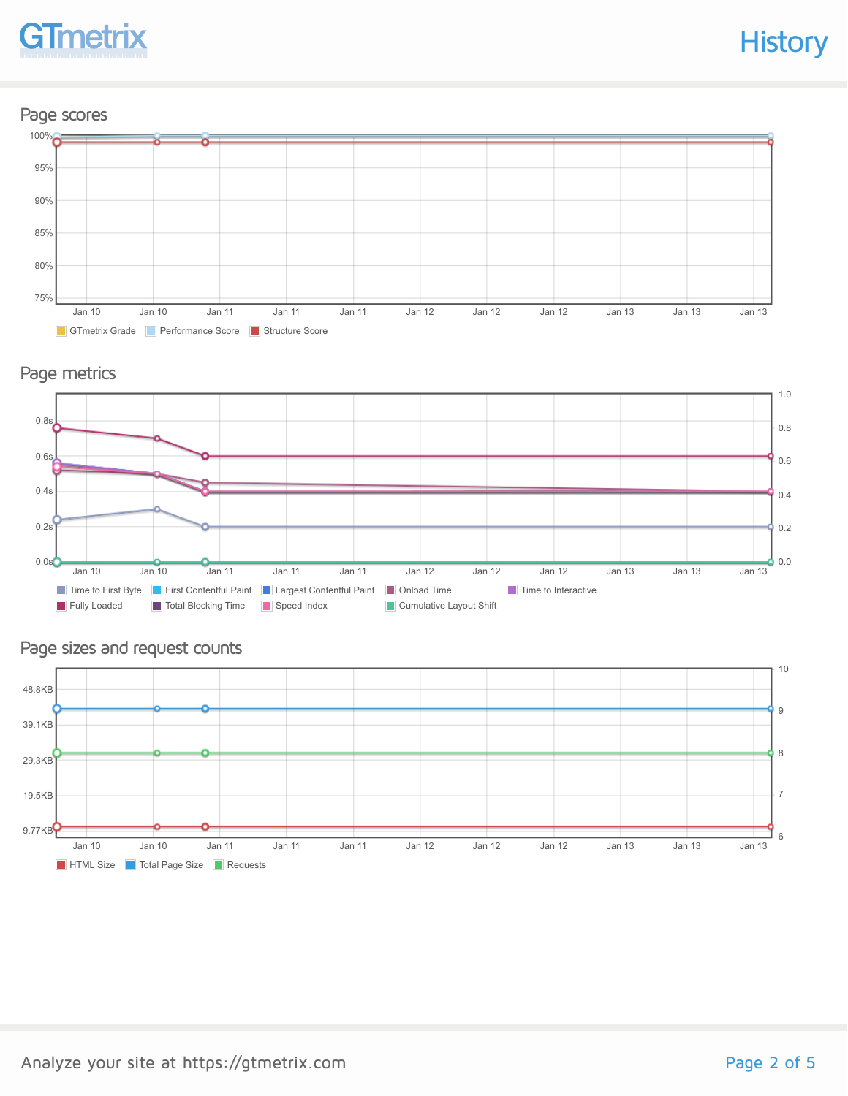

#### Page scores



#### Page metrics



#### Page sizes and request counts

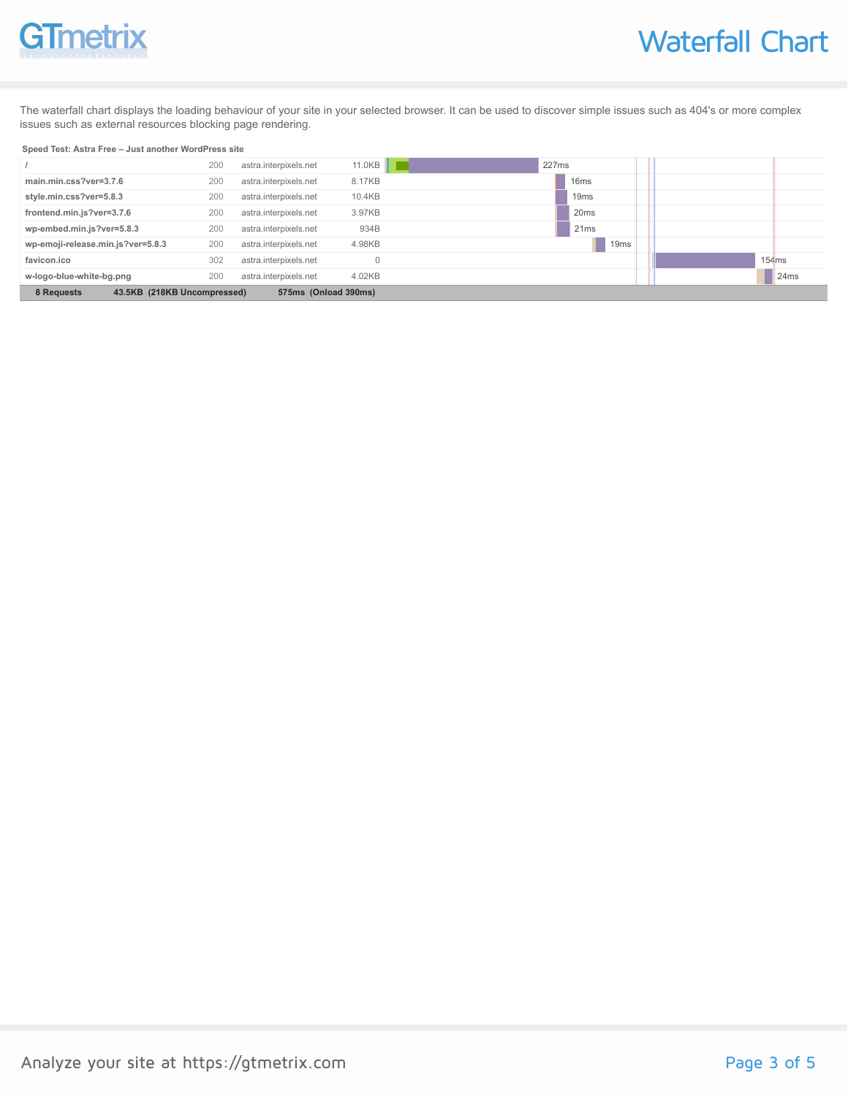# GTmetrix

The waterfall chart displays the loading behaviour of your site in your selected browser. It can be used to discover simple issues such as 404's or more complex issues such as external resources blocking page rendering.

#### **Speed Test: Astra Free – Just another WordPress site**

|                                                                   | 200 | astra.interpixels.net | 11.0KB | 227ms            |  |       |
|-------------------------------------------------------------------|-----|-----------------------|--------|------------------|--|-------|
| main.min.css?ver=3.7.6                                            | 200 | astra.interpixels.net | 8.17KB | 16 <sub>ms</sub> |  |       |
| style.min.css?ver=5.8.3                                           | 200 | astra.interpixels.net | 10.4KB | 19 <sub>ms</sub> |  |       |
| frontend.min.js?ver=3.7.6                                         | 200 | astra.interpixels.net | 3.97KB | 20 <sub>ms</sub> |  |       |
| wp-embed.min.js?ver=5.8.3                                         | 200 | astra.interpixels.net | 934B   | 21ms             |  |       |
| wp-emoji-release.min.js?ver=5.8.3                                 | 200 | astra.interpixels.net | 4.98KB | 19 <sub>ms</sub> |  |       |
| favicon.ico                                                       | 302 | astra.interpixels.net |        |                  |  | 154ms |
| w-logo-blue-white-bg.png                                          | 200 | astra.interpixels.net | 4.02KB |                  |  | 24ms  |
| 43.5KB (218KB Uncompressed)<br>8 Requests<br>575ms (Onload 390ms) |     |                       |        |                  |  |       |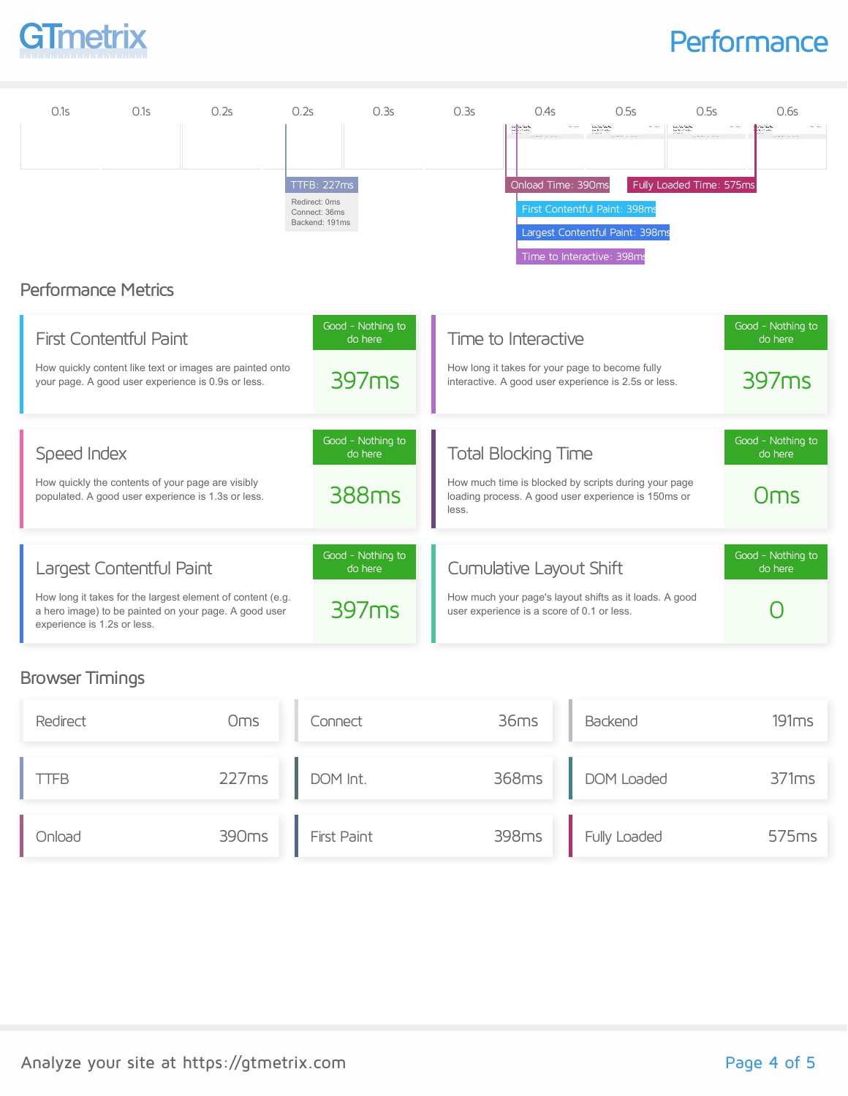

## **Performance**

| 0.1s                        | 0.1s                                                                                                    | 0.2s                                                                                                                | 0.2s                                                            | 0.3s                         | 0.3s  | 0.4s                                                                                                        | 0.5s                                                                                                         | 0.5s                                                        | 0.6s                         |
|-----------------------------|---------------------------------------------------------------------------------------------------------|---------------------------------------------------------------------------------------------------------------------|-----------------------------------------------------------------|------------------------------|-------|-------------------------------------------------------------------------------------------------------------|--------------------------------------------------------------------------------------------------------------|-------------------------------------------------------------|------------------------------|
|                             |                                                                                                         |                                                                                                                     | TTFB: 227ms<br>Redirect: 0ms<br>Connect: 36ms<br>Backend: 191ms |                              |       | Onload Time: 390ms<br>Time to Interactive: 398ms                                                            | Los Confidentes<br>Sentido de Calendario<br>First Contentful Paint: 398ms<br>Largest Contentful Paint: 398ms | Los Confusions<br>Ann an Confus<br>Fully Loaded Time: 575ms |                              |
| <b>Performance Metrics</b>  |                                                                                                         |                                                                                                                     |                                                                 |                              |       |                                                                                                             |                                                                                                              |                                                             |                              |
|                             | <b>First Contentful Paint</b>                                                                           |                                                                                                                     |                                                                 | Good - Nothing to<br>do here |       | Time to Interactive                                                                                         |                                                                                                              |                                                             | Good - Nothing to<br>do here |
|                             | your page. A good user experience is 0.9s or less.                                                      | How quickly content like text or images are painted onto                                                            |                                                                 | 397 <sub>ms</sub>            |       | How long it takes for your page to become fully<br>interactive. A good user experience is 2.5s or less.     |                                                                                                              |                                                             | 397 <sub>ms</sub>            |
| Speed Index                 |                                                                                                         |                                                                                                                     |                                                                 | Good - Nothing to<br>do here |       | <b>Total Blocking Time</b>                                                                                  |                                                                                                              |                                                             | Good - Nothing to<br>do here |
|                             | How quickly the contents of your page are visibly<br>populated. A good user experience is 1.3s or less. |                                                                                                                     |                                                                 | 388ms                        | less. | How much time is blocked by scripts during your page<br>loading process. A good user experience is 150ms or |                                                                                                              |                                                             | Oms                          |
|                             | Largest Contentful Paint                                                                                |                                                                                                                     |                                                                 | Good - Nothing to<br>do here |       | Cumulative Layout Shift                                                                                     |                                                                                                              |                                                             | Good - Nothing to<br>do here |
| experience is 1.2s or less. |                                                                                                         | How long it takes for the largest element of content (e.g.<br>a hero image) to be painted on your page. A good user |                                                                 | 397 <sub>ms</sub>            |       | How much your page's layout shifts as it loads. A good<br>user experience is a score of 0.1 or less.        |                                                                                                              |                                                             |                              |

### Browser Timings

| Redirect | <b>Oms</b> | Connect     | 36ms  | Backend      | 191ms |
|----------|------------|-------------|-------|--------------|-------|
| IFB      | 227ms      | DOM Int.    | 368ms | DOM Loaded   | 371ms |
| Onload   | 390ms      | First Paint | 398ms | Fully Loaded | 575ms |